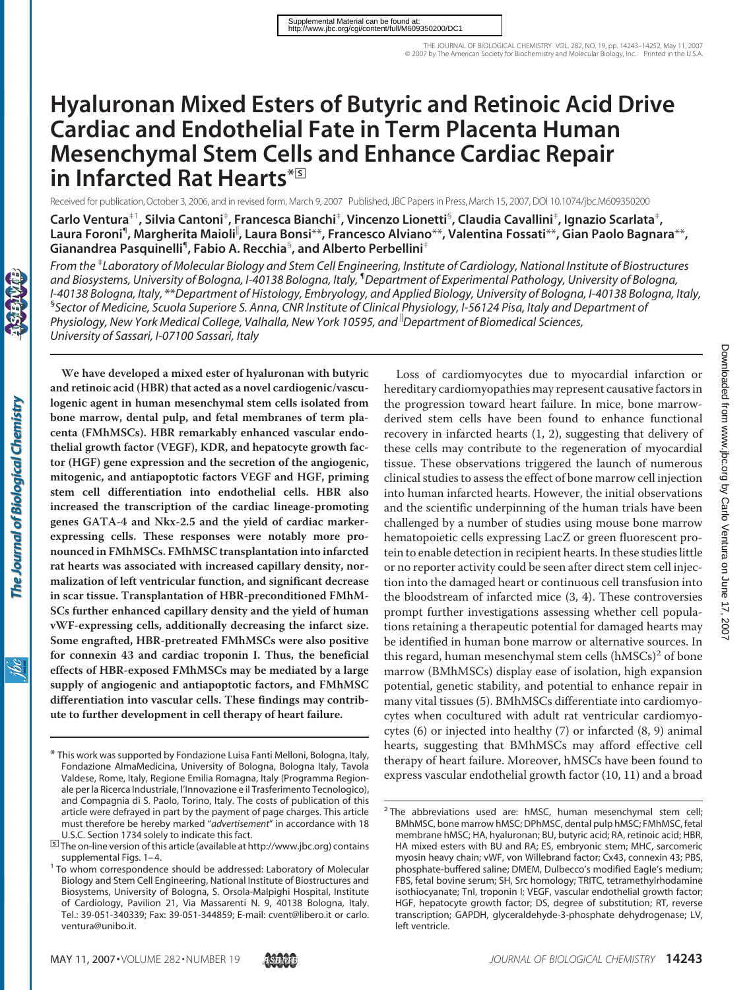# **Hyaluronan Mixed Esters of Butyric and Retinoic Acid Drive Cardiac and Endothelial Fate in Term Placenta Human Mesenchymal Stem Cells and Enhance Cardiac Repair in Infarcted Rat Hearts**\*<sup>3</sup>

Received for publication,October 3, 2006, and in revised form, March 9, 2007 Published, JBC Papers in Press, March 15, 2007, DOI 10.1074/jbc.M609350200

**Carlo Ventura**‡1**, Silvia Cantoni**‡ **, Francesca Bianchi**‡ **, Vincenzo Lionetti**§ **, Claudia Cavallini**‡ **, Ignazio Scarlata**‡ **, Laura Foroni**¶ **, Margherita Maioli , Laura Bonsi**\*\***, Francesco Alviano**\*\***, Valentina Fossati**\*\***, Gian Paolo Bagnara**\*\***, Gianandrea Pasquinelli**¶ **, Fabio A. Recchia**§ **, and Alberto Perbellini**‡

*From the* ‡ *Laboratory of Molecular Biology and Stem Cell Engineering, Institute of Cardiology, National Institute of Biostructures and Biosystems, University of Bologna, I-40138 Bologna, Italy,* ¶ *Department of Experimental Pathology, University of Bologna, I-40138 Bologna, Italy,* \*\**Department of Histology, Embryology, and Applied Biology, University of Bologna, I-40138 Bologna, Italy,* § *Sector of Medicine, Scuola Superiore S. Anna, CNR Institute of Clinical Physiology, I-56124 Pisa, Italy and Department of Physiology, New York Medical College, Valhalla, New York 10595, and Department of Biomedical Sciences, University of Sassari, I-07100 Sassari, Italy*

ibc

**We have developed a mixed ester of hyaluronan with butyric and retinoic acid (HBR) that acted as a novel cardiogenic/vasculogenic agent in human mesenchymal stem cells isolated from bone marrow, dental pulp, and fetal membranes of term placenta (FMhMSCs). HBR remarkably enhanced vascular endothelial growth factor (VEGF), KDR, and hepatocyte growth factor (HGF) gene expression and the secretion of the angiogenic, mitogenic, and antiapoptotic factors VEGF and HGF, priming stem cell differentiation into endothelial cells. HBR also increased the transcription of the cardiac lineage-promoting genes GATA-4 and Nkx-2.5 and the yield of cardiac markerexpressing cells. These responses were notably more pronounced in FMhMSCs. FMhMSC transplantation into infarcted rat hearts was associated with increased capillary density, normalization of left ventricular function, and significant decrease in scar tissue. Transplantation of HBR-preconditioned FMhM-SCs further enhanced capillary density and the yield of human vWF-expressing cells, additionally decreasing the infarct size. Some engrafted, HBR-pretreated FMhMSCs were also positive for connexin 43 and cardiac troponin I. Thus, the beneficial effects of HBR-exposed FMhMSCs may be mediated by a large supply of angiogenic and antiapoptotic factors, and FMhMSC differentiation into vascular cells. These findings may contribute to further development in cell therapy of heart failure.**

Loss of cardiomyocytes due to myocardial infarction or hereditary cardiomyopathies may represent causative factors in the progression toward heart failure. In mice, bone marrowderived stem cells have been found to enhance functional recovery in infarcted hearts (1, 2), suggesting that delivery of these cells may contribute to the regeneration of myocardial tissue. These observations triggered the launch of numerous clinical studies to assess the effect of bone marrow cell injection into human infarcted hearts. However, the initial observations and the scientific underpinning of the human trials have been challenged by a number of studies using mouse bone marrow hematopoietic cells expressing LacZ or green fluorescent protein to enable detection in recipient hearts. In these studies little or no reporter activity could be seen after direct stem cell injection into the damaged heart or continuous cell transfusion into the bloodstream of infarcted mice (3, 4). These controversies prompt further investigations assessing whether cell populations retaining a therapeutic potential for damaged hearts may be identified in human bone marrow or alternative sources. In this regard, human mesenchymal stem cells  $(hMSCs)^2$  of bone marrow (BMhMSCs) display ease of isolation, high expansion potential, genetic stability, and potential to enhance repair in many vital tissues (5). BMhMSCs differentiate into cardiomyocytes when cocultured with adult rat ventricular cardiomyocytes (6) or injected into healthy (7) or infarcted (8, 9) animal hearts, suggesting that BMhMSCs may afford effective cell therapy of heart failure. Moreover, hMSCs have been found to express vascular endothelial growth factor (10, 11) and a broad

<sup>\*</sup> This work was supported by Fondazione Luisa Fanti Melloni, Bologna, Italy, Fondazione AlmaMedicina, University of Bologna, Bologna Italy, Tavola Valdese, Rome, Italy, Regione Emilia Romagna, Italy (Programma Regionale per la Ricerca Industriale, l'Innovazione e il Trasferimento Tecnologico), and Compagnia di S. Paolo, Torino, Italy. The costs of publication of this article were defrayed in part by the payment of page charges. This article must therefore be hereby marked "*advertisement*" in accordance with 18

U.S.C. Section 1734 solely to indicate this fact.<br> **<u>Is</u>** The on-line version of this article (available at http://www.jbc.org) contains supplemental Figs. 1–4.<br><sup>1</sup> To whom correspondence should be addressed: Laboratory of Molecular

Biology and Stem Cell Engineering, National Institute of Biostructures and Biosystems, University of Bologna, S. Orsola-Malpighi Hospital, Institute of Cardiology, Pavilion 21, Via Massarenti N. 9, 40138 Bologna, Italy. Tel.: 39-051-340339; Fax: 39-051-344859; E-mail: cvent@libero.it or carlo. ventura@unibo.it.

<sup>&</sup>lt;sup>2</sup> The abbreviations used are: hMSC, human mesenchymal stem cell; BMhMSC, bone marrow hMSC; DPhMSC, dental pulp hMSC; FMhMSC, fetal membrane hMSC; HA, hyaluronan; BU, butyric acid; RA, retinoic acid; HBR, HA mixed esters with BU and RA; ES, embryonic stem; MHC, sarcomeric myosin heavy chain; vWF, von Willebrand factor; Cx43, connexin 43; PBS, phosphate-buffered saline; DMEM, Dulbecco's modified Eagle's medium; FBS, fetal bovine serum; SH, Src homology; TRITC, tetramethylrhodamine isothiocyanate; TnI, troponin I; VEGF, vascular endothelial growth factor; HGF, hepatocyte growth factor; DS, degree of substitution; RT, reverse transcription; GAPDH, glyceraldehyde-3-phosphate dehydrogenase; LV, left ventricle.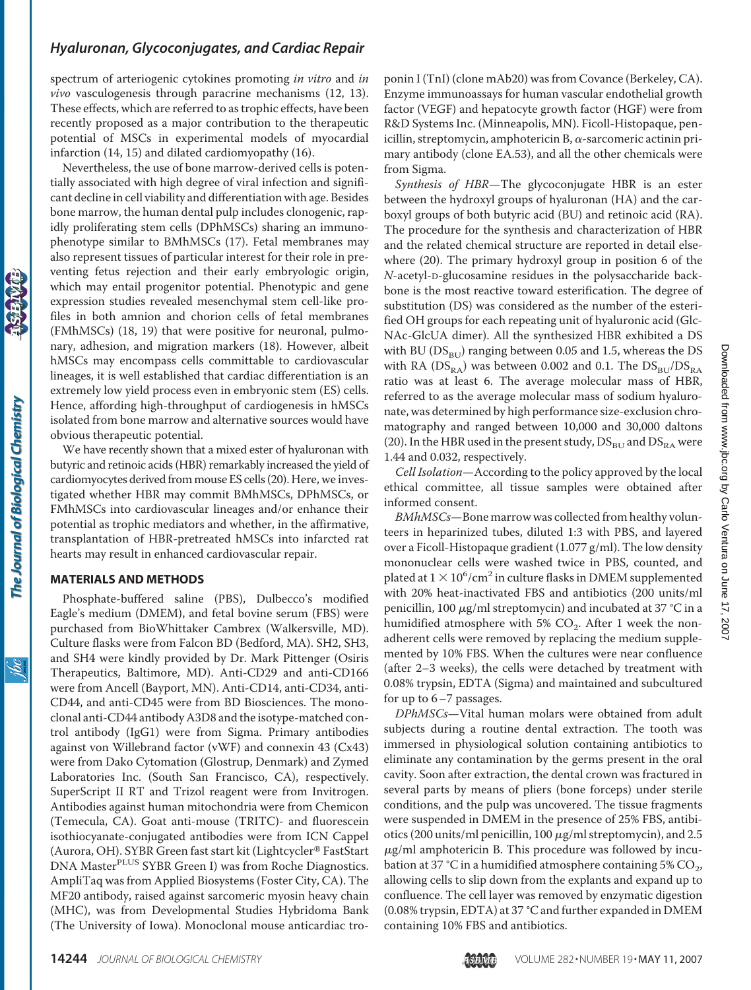spectrum of arteriogenic cytokines promoting *in vitro* and *in vivo* vasculogenesis through paracrine mechanisms (12, 13). These effects, which are referred to as trophic effects, have been recently proposed as a major contribution to the therapeutic potential of MSCs in experimental models of myocardial infarction (14, 15) and dilated cardiomyopathy (16).

Nevertheless, the use of bone marrow-derived cells is potentially associated with high degree of viral infection and significant decline in cell viability and differentiation with age. Besides bone marrow, the human dental pulp includes clonogenic, rapidly proliferating stem cells (DPhMSCs) sharing an immunophenotype similar to BMhMSCs (17). Fetal membranes may also represent tissues of particular interest for their role in preventing fetus rejection and their early embryologic origin, which may entail progenitor potential. Phenotypic and gene expression studies revealed mesenchymal stem cell-like profiles in both amnion and chorion cells of fetal membranes (FMhMSCs) (18, 19) that were positive for neuronal, pulmonary, adhesion, and migration markers (18). However, albeit hMSCs may encompass cells committable to cardiovascular lineages, it is well established that cardiac differentiation is an extremely low yield process even in embryonic stem (ES) cells. Hence, affording high-throughput of cardiogenesis in hMSCs isolated from bone marrow and alternative sources would have obvious therapeutic potential.

We have recently shown that a mixed ester of hyaluronan with butyric and retinoic acids (HBR) remarkably increased the yield of cardiomyocytes derived from mouse ES cells (20). Here, we investigated whether HBR may commit BMhMSCs, DPhMSCs, or FMhMSCs into cardiovascular lineages and/or enhance their potential as trophic mediators and whether, in the affirmative, transplantation of HBR-pretreated hMSCs into infarcted rat hearts may result in enhanced cardiovascular repair.

#### **MATERIALS AND METHODS**

Phosphate-buffered saline (PBS), Dulbecco's modified Eagle's medium (DMEM), and fetal bovine serum (FBS) were purchased from BioWhittaker Cambrex (Walkersville, MD). Culture flasks were from Falcon BD (Bedford, MA). SH2, SH3, and SH4 were kindly provided by Dr. Mark Pittenger (Osiris Therapeutics, Baltimore, MD). Anti-CD29 and anti-CD166 were from Ancell (Bayport, MN). Anti-CD14, anti-CD34, anti-CD44, and anti-CD45 were from BD Biosciences. The monoclonal anti-CD44 antibody A3D8 and the isotype-matched control antibody (IgG1) were from Sigma. Primary antibodies against von Willebrand factor (vWF) and connexin 43 (Cx43) were from Dako Cytomation (Glostrup, Denmark) and Zymed Laboratories Inc. (South San Francisco, CA), respectively. SuperScript II RT and Trizol reagent were from Invitrogen. Antibodies against human mitochondria were from Chemicon (Temecula, CA). Goat anti-mouse (TRITC)- and fluorescein isothiocyanate-conjugated antibodies were from ICN Cappel (Aurora, OH). SYBR Green fast start kit (Lightcycler® FastStart DNA Master<sup>PLUS</sup> SYBR Green I) was from Roche Diagnostics. AmpliTaq was from Applied Biosystems (Foster City, CA). The MF20 antibody, raised against sarcomeric myosin heavy chain (MHC), was from Developmental Studies Hybridoma Bank (The University of Iowa). Monoclonal mouse anticardiac troponin I (TnI) (clone mAb20) was from Covance (Berkeley, CA). Enzyme immunoassays for human vascular endothelial growth factor (VEGF) and hepatocyte growth factor (HGF) were from R&D Systems Inc. (Minneapolis, MN). Ficoll-Histopaque, penicillin, streptomycin, amphotericin B,  $\alpha$ -sarcomeric actinin primary antibody (clone EA.53), and all the other chemicals were from Sigma.

*Synthesis of HBR*—The glycoconjugate HBR is an ester between the hydroxyl groups of hyaluronan (HA) and the carboxyl groups of both butyric acid (BU) and retinoic acid (RA). The procedure for the synthesis and characterization of HBR and the related chemical structure are reported in detail elsewhere (20). The primary hydroxyl group in position 6 of the *N*-acetyl-D-glucosamine residues in the polysaccharide backbone is the most reactive toward esterification. The degree of substitution (DS) was considered as the number of the esterified OH groups for each repeating unit of hyaluronic acid (Glc-NAc-GlcUA dimer). All the synthesized HBR exhibited a DS with BU ( $DS<sub>BH</sub>$ ) ranging between 0.05 and 1.5, whereas the DS with RA ( $DS_{RA}$ ) was between 0.002 and 0.1. The  $DS_{BU}/DS_{RA}$ ratio was at least 6. The average molecular mass of HBR, referred to as the average molecular mass of sodium hyaluronate, was determined by high performance size-exclusion chromatography and ranged between 10,000 and 30,000 daltons (20). In the HBR used in the present study,  $DS_{BU}$  and  $DS_{RA}$  were 1.44 and 0.032, respectively.

*Cell Isolation*—According to the policy approved by the local ethical committee, all tissue samples were obtained after informed consent.

*BMhMSCs*—Bone marrow was collected from healthy volunteers in heparinized tubes, diluted 1:3 with PBS, and layered over a Ficoll-Histopaque gradient (1.077 g/ml). The low density mononuclear cells were washed twice in PBS, counted, and plated at  $1 \times 10^6/\text{cm}^2$  in culture flasks in DMEM supplemented with 20% heat-inactivated FBS and antibiotics (200 units/ml penicillin, 100  $\mu$ g/ml streptomycin) and incubated at 37 °C in a humidified atmosphere with 5%  $CO<sub>2</sub>$ . After 1 week the nonadherent cells were removed by replacing the medium supplemented by 10% FBS. When the cultures were near confluence (after 2–3 weeks), the cells were detached by treatment with 0.08% trypsin, EDTA (Sigma) and maintained and subcultured for up to  $6-7$  passages.

*DPhMSCs*—Vital human molars were obtained from adult subjects during a routine dental extraction. The tooth was immersed in physiological solution containing antibiotics to eliminate any contamination by the germs present in the oral cavity. Soon after extraction, the dental crown was fractured in several parts by means of pliers (bone forceps) under sterile conditions, and the pulp was uncovered. The tissue fragments were suspended in DMEM in the presence of 25% FBS, antibiotics (200 units/ml penicillin, 100  $\mu$ g/ml streptomycin), and 2.5  $\mu$ g/ml amphotericin B. This procedure was followed by incubation at 37 °C in a humidified atmosphere containing 5%  $CO<sub>2</sub>$ , allowing cells to slip down from the explants and expand up to confluence. The cell layer was removed by enzymatic digestion (0.08% trypsin, EDTA) at 37 °C and further expanded in DMEM containing 10% FBS and antibiotics.

ibc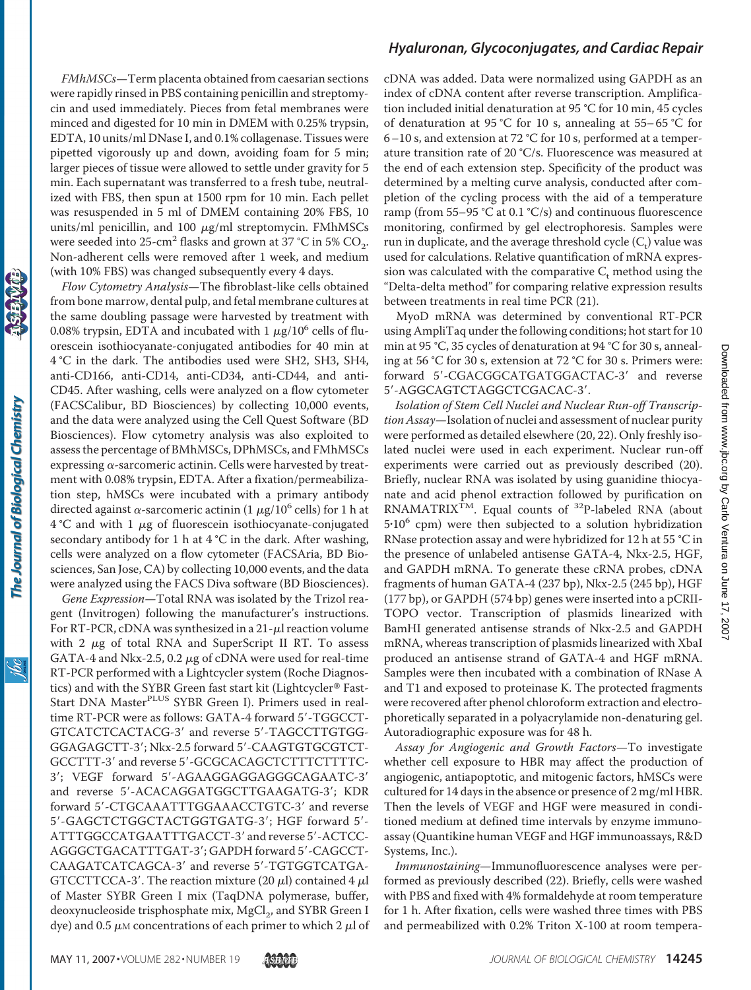*FMhMSCs*—Term placenta obtained from caesarian sections were rapidly rinsed in PBS containing penicillin and streptomycin and used immediately. Pieces from fetal membranes were minced and digested for 10 min in DMEM with 0.25% trypsin, EDTA, 10 units/ml DNase I, and 0.1% collagenase. Tissues were pipetted vigorously up and down, avoiding foam for 5 min; larger pieces of tissue were allowed to settle under gravity for 5 min. Each supernatant was transferred to a fresh tube, neutralized with FBS, then spun at 1500 rpm for 10 min. Each pellet was resuspended in 5 ml of DMEM containing 20% FBS, 10 units/ml penicillin, and 100 µg/ml streptomycin. FMhMSCs were seeded into 25-cm<sup>2</sup> flasks and grown at 37 °C in 5% CO<sub>2</sub>. Non-adherent cells were removed after 1 week, and medium (with 10% FBS) was changed subsequently every 4 days.

*Flow Cytometry Analysis*—The fibroblast-like cells obtained from bone marrow, dental pulp, and fetal membrane cultures at the same doubling passage were harvested by treatment with 0.08% trypsin, EDTA and incubated with 1  $\mu$ g/10<sup>6</sup> cells of fluorescein isothiocyanate-conjugated antibodies for 40 min at 4 °C in the dark. The antibodies used were SH2, SH3, SH4, anti-CD166, anti-CD14, anti-CD34, anti-CD44, and anti-CD45. After washing, cells were analyzed on a flow cytometer (FACSCalibur, BD Biosciences) by collecting 10,000 events, and the data were analyzed using the Cell Quest Software (BD Biosciences). Flow cytometry analysis was also exploited to assess the percentage of BMhMSCs, DPhMSCs, and FMhMSCs expressing  $\alpha$ -sarcomeric actinin. Cells were harvested by treatment with 0.08% trypsin, EDTA. After a fixation/permeabilization step, hMSCs were incubated with a primary antibody directed against  $\alpha$ -sarcomeric actinin (1  $\mu$ g/10<sup>6</sup> cells) for 1 h at  $4\,^{\circ}\mathrm{C}$  and with 1  $\mu$ g of fluorescein isothiocyanate-conjugated secondary antibody for 1 h at 4 °C in the dark. After washing, cells were analyzed on a flow cytometer (FACSAria, BD Biosciences, San Jose, CA) by collecting 10,000 events, and the data were analyzed using the FACS Diva software (BD Biosciences).

*Gene Expression*—Total RNA was isolated by the Trizol reagent (Invitrogen) following the manufacturer's instructions. For RT-PCR, cDNA was synthesized in a  $21$ - $\mu$ l reaction volume with  $2 \mu$ g of total RNA and SuperScript II RT. To assess GATA-4 and Nkx-2.5, 0.2  $\mu$ g of cDNA were used for real-time RT-PCR performed with a Lightcycler system (Roche Diagnostics) and with the SYBR Green fast start kit (Lightcycler® Fast-Start DNA Master<sup>PLUS</sup> SYBR Green I). Primers used in realtime RT-PCR were as follows: GATA-4 forward 5'-TGGCCT-GTCATCTCACTACG-3' and reverse 5'-TAGCCTTGTGG-GGAGAGCTT-3'; Nkx-2.5 forward 5'-CAAGTGTGCGTCT-GCCTTT-3' and reverse 5'-GCGCACAGCTCTTTCTTTTC-3'; VEGF forward 5'-AGAAGGAGGAGGCAGAATC-3' and reverse 5--ACACAGGATGGCTTGAAGATG-3-; KDR forward 5'-CTGCAAATTTGGAAACCTGTC-3' and reverse 5'-GAGCTCTGGCTACTGGTGATG-3'; HGF forward 5'-ATTTGGCCATGAATTTGACCT-3' and reverse 5'-ACTCC-AGGGCTGACATTTGAT-3'; GAPDH forward 5'-CAGCCT-CAAGATCATCAGCA-3' and reverse 5'-TGTGGTCATGA-GTCCTTCCA-3'. The reaction mixture (20  $\mu$ l) contained 4  $\mu$ l of Master SYBR Green I mix (TaqDNA polymerase, buffer, deoxynucleoside trisphosphate mix, MgCl<sub>2</sub>, and SYBR Green I dye) and 0.5  $\mu$ M concentrations of each primer to which 2  $\mu$ l of

## *Hyaluronan, Glycoconjugates, and Cardiac Repair*

cDNA was added. Data were normalized using GAPDH as an index of cDNA content after reverse transcription. Amplification included initial denaturation at 95 °C for 10 min, 45 cycles of denaturation at 95 °C for 10 s, annealing at 55– 65 °C for 6–10 s, and extension at 72 °C for 10 s, performed at a temperature transition rate of 20 °C/s. Fluorescence was measured at the end of each extension step. Specificity of the product was determined by a melting curve analysis, conducted after completion of the cycling process with the aid of a temperature ramp (from 55–95 °C at 0.1 °C/s) and continuous fluorescence monitoring, confirmed by gel electrophoresis. Samples were run in duplicate, and the average threshold cycle  $(C_{\mathrm{t}})$  value was used for calculations. Relative quantification of mRNA expression was calculated with the comparative  $C_t$  method using the "Delta-delta method" for comparing relative expression results between treatments in real time PCR (21).

MyoD mRNA was determined by conventional RT-PCR using AmpliTaq under the following conditions; hot start for 10 min at 95 °C, 35 cycles of denaturation at 94 °C for 30 s, annealing at 56 °C for 30 s, extension at 72 °C for 30 s. Primers were: forward 5'-CGACGGCATGATGGACTAC-3' and reverse 5--AGGCAGTCTAGGCTCGACAC-3-.

*Isolation of Stem Cell Nuclei and Nuclear Run-off Transcription Assay*—Isolation of nuclei and assessment of nuclear purity were performed as detailed elsewhere (20, 22). Only freshly isolated nuclei were used in each experiment. Nuclear run-off experiments were carried out as previously described (20). Briefly, nuclear RNA was isolated by using guanidine thiocyanate and acid phenol extraction followed by purification on RNAMATRIX<sup>TM</sup>. Equal counts of  $^{32}P$ -labeled RNA (about 5106 cpm) were then subjected to a solution hybridization RNase protection assay and were hybridized for 12 h at 55 °C in the presence of unlabeled antisense GATA-4, Nkx-2.5, HGF, and GAPDH mRNA. To generate these cRNA probes, cDNA fragments of human GATA-4 (237 bp), Nkx-2.5 (245 bp), HGF (177 bp), or GAPDH (574 bp) genes were inserted into a pCRII-TOPO vector. Transcription of plasmids linearized with BamHI generated antisense strands of Nkx-2.5 and GAPDH mRNA, whereas transcription of plasmids linearized with XbaI produced an antisense strand of GATA-4 and HGF mRNA. Samples were then incubated with a combination of RNase A and T1 and exposed to proteinase K. The protected fragments were recovered after phenol chloroform extraction and electrophoretically separated in a polyacrylamide non-denaturing gel. Autoradiographic exposure was for 48 h.

*Assay for Angiogenic and Growth Factors*—To investigate whether cell exposure to HBR may affect the production of angiogenic, antiapoptotic, and mitogenic factors, hMSCs were cultured for 14 days in the absence or presence of 2 mg/ml HBR. Then the levels of VEGF and HGF were measured in conditioned medium at defined time intervals by enzyme immunoassay (Quantikine human VEGF and HGF immunoassays, R&D Systems, Inc.).

*Immunostaining*—Immunofluorescence analyses were performed as previously described (22). Briefly, cells were washed with PBS and fixed with 4% formaldehyde at room temperature for 1 h. After fixation, cells were washed three times with PBS and permeabilized with 0.2% Triton X-100 at room tempera-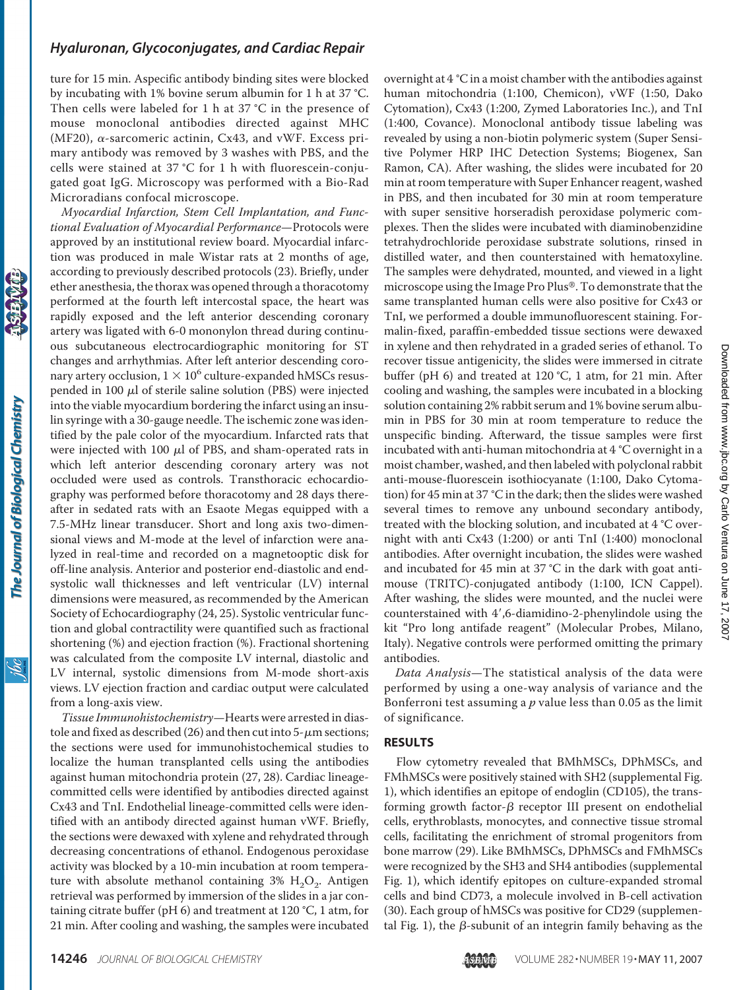ture for 15 min. Aspecific antibody binding sites were blocked by incubating with 1% bovine serum albumin for 1 h at 37 °C. Then cells were labeled for 1 h at 37 °C in the presence of mouse monoclonal antibodies directed against MHC (MF20),  $\alpha$ -sarcomeric actinin, Cx43, and vWF. Excess primary antibody was removed by 3 washes with PBS, and the cells were stained at 37 °C for 1 h with fluorescein-conjugated goat IgG. Microscopy was performed with a Bio-Rad Microradians confocal microscope.

*Myocardial Infarction, Stem Cell Implantation, and Functional Evaluation of Myocardial Performance*—Protocols were approved by an institutional review board. Myocardial infarction was produced in male Wistar rats at 2 months of age, according to previously described protocols (23). Briefly, under ether anesthesia, the thorax was opened through a thoracotomy performed at the fourth left intercostal space, the heart was rapidly exposed and the left anterior descending coronary artery was ligated with 6-0 mononylon thread during continuous subcutaneous electrocardiographic monitoring for ST changes and arrhythmias. After left anterior descending coronary artery occlusion,  $1 \times 10^6$  culture-expanded hMSCs resuspended in 100  $\mu$ l of sterile saline solution (PBS) were injected into the viable myocardium bordering the infarct using an insulin syringe with a 30-gauge needle. The ischemic zone was identified by the pale color of the myocardium. Infarcted rats that were injected with 100  $\mu$ l of PBS, and sham-operated rats in which left anterior descending coronary artery was not occluded were used as controls. Transthoracic echocardiography was performed before thoracotomy and 28 days thereafter in sedated rats with an Esaote Megas equipped with a 7.5-MHz linear transducer. Short and long axis two-dimensional views and M-mode at the level of infarction were analyzed in real-time and recorded on a magnetooptic disk for off-line analysis. Anterior and posterior end-diastolic and endsystolic wall thicknesses and left ventricular (LV) internal dimensions were measured, as recommended by the American Society of Echocardiography (24, 25). Systolic ventricular function and global contractility were quantified such as fractional shortening (%) and ejection fraction (%). Fractional shortening was calculated from the composite LV internal, diastolic and LV internal, systolic dimensions from M-mode short-axis views. LV ejection fraction and cardiac output were calculated from a long-axis view.

*Tissue Immunohistochemistry*—Hearts were arrested in diastole and fixed as described (26) and then cut into 5- $\mu$ m sections; the sections were used for immunohistochemical studies to localize the human transplanted cells using the antibodies against human mitochondria protein (27, 28). Cardiac lineagecommitted cells were identified by antibodies directed against Cx43 and TnI. Endothelial lineage-committed cells were identified with an antibody directed against human vWF. Briefly, the sections were dewaxed with xylene and rehydrated through decreasing concentrations of ethanol. Endogenous peroxidase activity was blocked by a 10-min incubation at room temperature with absolute methanol containing  $3\%$  H<sub>2</sub>O<sub>2</sub>. Antigen retrieval was performed by immersion of the slides in a jar containing citrate buffer (pH 6) and treatment at 120 °C, 1 atm, for 21 min. After cooling and washing, the samples were incubated

overnight at 4 °C in a moist chamber with the antibodies against human mitochondria (1:100, Chemicon), vWF (1:50, Dako Cytomation), Cx43 (1:200, Zymed Laboratories Inc.), and TnI (1:400, Covance). Monoclonal antibody tissue labeling was revealed by using a non-biotin polymeric system (Super Sensitive Polymer HRP IHC Detection Systems; Biogenex, San Ramon, CA). After washing, the slides were incubated for 20 min at room temperature with Super Enhancer reagent, washed in PBS, and then incubated for 30 min at room temperature with super sensitive horseradish peroxidase polymeric complexes. Then the slides were incubated with diaminobenzidine tetrahydrochloride peroxidase substrate solutions, rinsed in distilled water, and then counterstained with hematoxyline. The samples were dehydrated, mounted, and viewed in a light microscope using the Image Pro Plus®. To demonstrate that the same transplanted human cells were also positive for Cx43 or TnI, we performed a double immunofluorescent staining. Formalin-fixed, paraffin-embedded tissue sections were dewaxed in xylene and then rehydrated in a graded series of ethanol. To recover tissue antigenicity, the slides were immersed in citrate buffer (pH 6) and treated at 120 °C, 1 atm, for 21 min. After cooling and washing, the samples were incubated in a blocking solution containing 2% rabbit serum and 1% bovine serum albumin in PBS for 30 min at room temperature to reduce the unspecific binding. Afterward, the tissue samples were first incubated with anti-human mitochondria at 4 °C overnight in a moist chamber, washed, and then labeled with polyclonal rabbit anti-mouse-fluorescein isothiocyanate (1:100, Dako Cytomation) for 45 min at 37 °C in the dark; then the slides were washed several times to remove any unbound secondary antibody, treated with the blocking solution, and incubated at 4 °C overnight with anti Cx43 (1:200) or anti TnI (1:400) monoclonal antibodies. After overnight incubation, the slides were washed and incubated for 45 min at 37 °C in the dark with goat antimouse (TRITC)-conjugated antibody (1:100, ICN Cappel). After washing, the slides were mounted, and the nuclei were counterstained with 4',6-diamidino-2-phenylindole using the kit "Pro long antifade reagent" (Molecular Probes, Milano, Italy). Negative controls were performed omitting the primary antibodies.

*Data Analysis*—The statistical analysis of the data were performed by using a one-way analysis of variance and the Bonferroni test assuming a *p* value less than 0.05 as the limit of significance.

#### **RESULTS**

Flow cytometry revealed that BMhMSCs, DPhMSCs, and FMhMSCs were positively stained with SH2 (supplemental Fig. 1), which identifies an epitope of endoglin (CD105), the transforming growth factor- $\beta$  receptor III present on endothelial cells, erythroblasts, monocytes, and connective tissue stromal cells, facilitating the enrichment of stromal progenitors from bone marrow (29). Like BMhMSCs, DPhMSCs and FMhMSCs were recognized by the SH3 and SH4 antibodies (supplemental Fig. 1), which identify epitopes on culture-expanded stromal cells and bind CD73, a molecule involved in B-cell activation (30). Each group of hMSCs was positive for CD29 (supplemental Fig. 1), the  $\beta$ -subunit of an integrin family behaving as the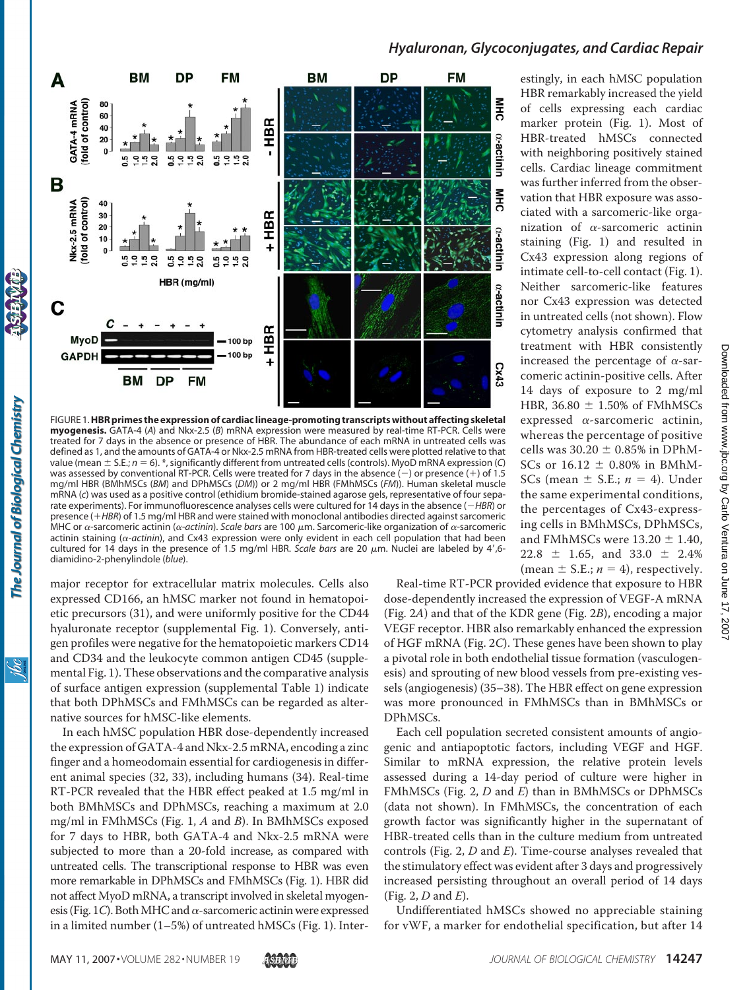

FIGURE 1.**HBR primes the expression of cardiac lineage-promoting transcripts without affecting skeletal myogenesis.** GATA-4 (*A*) and Nkx-2.5 (*B*) mRNA expression were measured by real-time RT-PCR. Cells were treated for 7 days in the absence or presence of HBR. The abundance of each mRNA in untreated cells was defined as 1, and the amounts of GATA-4 or Nkx-2.5 mRNA from HBR-treated cells were plotted relative to that value (mean  $\pm$  S.E.; *n* = 6). \*, significantly different from untreated cells (controls). MyoD mRNA expression (C) was assessed by conventional RT-PCR. Cells were treated for 7 days in the absence  $(-)$  or presence  $(+)$  of 1.5 mg/ml HBR (BMhMSCs (*BM*) and DPhMSCs (*DM*)) or 2 mg/ml HBR (FMhMSCs (*FM*)). Human skeletal muscle mRNA (*c*) was used as a positive control (ethidium bromide-stained agarose gels, representative of four separate experiments). For immunofluorescence analyses cells were cultured for 14 days in the absence (*HBR*) or presence (+HBR) of 1.5 mg/ml HBR and were stained with monoclonal antibodies directed against sarcomeric MHC or  $\alpha$ -sarcomeric actinin ( $\alpha$ -*actinin*). *Scale bars* are 100  $\mu$ m. Sarcomeric-like organization of  $\alpha$ -sarcomeric actinin staining ( $\alpha$ -actinin), and Cx43 expression were only evident in each cell population that had been cultured for 14 days in the presence of 1.5 mg/ml HBR. Scale bars are 20  $\mu$ m. Nuclei are labeled by 4',6diamidino-2-phenylindole (*blue*).

major receptor for extracellular matrix molecules. Cells also expressed CD166, an hMSC marker not found in hematopoietic precursors (31), and were uniformly positive for the CD44 hyaluronate receptor (supplemental Fig. 1). Conversely, antigen profiles were negative for the hematopoietic markers CD14 and CD34 and the leukocyte common antigen CD45 (supplemental Fig. 1). These observations and the comparative analysis of surface antigen expression (supplemental Table 1) indicate that both DPhMSCs and FMhMSCs can be regarded as alternative sources for hMSC-like elements.

In each hMSC population HBR dose-dependently increased the expression of GATA-4 and Nkx-2.5 mRNA, encoding a zinc finger and a homeodomain essential for cardiogenesis in different animal species (32, 33), including humans (34). Real-time RT-PCR revealed that the HBR effect peaked at 1.5 mg/ml in both BMhMSCs and DPhMSCs, reaching a maximum at 2.0 mg/ml in FMhMSCs (Fig. 1, *A* and *B*). In BMhMSCs exposed for 7 days to HBR, both GATA-4 and Nkx-2.5 mRNA were subjected to more than a 20-fold increase, as compared with untreated cells. The transcriptional response to HBR was even more remarkable in DPhMSCs and FMhMSCs (Fig. 1). HBR did not affect MyoD mRNA, a transcript involved in skeletal myogenesis (Fig. 1*C*). Both MHC and  $\alpha$ -sarcomeric actinin were expressed in a limited number (1–5%) of untreated hMSCs (Fig. 1). Inter-

Real-time RT-PCR provided evidence that exposure to HBR dose-dependently increased the expression of VEGF-A mRNA (Fig. 2*A*) and that of the KDR gene (Fig. 2*B*), encoding a major VEGF receptor. HBR also remarkably enhanced the expression of HGF mRNA (Fig. 2*C*). These genes have been shown to play a pivotal role in both endothelial tissue formation (vasculogenesis) and sprouting of new blood vessels from pre-existing vessels (angiogenesis) (35–38). The HBR effect on gene expression was more pronounced in FMhMSCs than in BMhMSCs or DPhMSCs.

Each cell population secreted consistent amounts of angiogenic and antiapoptotic factors, including VEGF and HGF. Similar to mRNA expression, the relative protein levels assessed during a 14-day period of culture were higher in FMhMSCs (Fig. 2, *D* and *E*) than in BMhMSCs or DPhMSCs (data not shown). In FMhMSCs, the concentration of each growth factor was significantly higher in the supernatant of HBR-treated cells than in the culture medium from untreated controls (Fig. 2, *D* and *E*). Time-course analyses revealed that the stimulatory effect was evident after 3 days and progressively increased persisting throughout an overall period of 14 days (Fig. 2, *D* and *E*).

Undifferentiated hMSCs showed no appreciable staining for vWF, a marker for endothelial specification, but after 14

estingly, in each hMSC population HBR remarkably increased the yield of cells expressing each cardiac marker protein (Fig. 1). Most of HBR-treated hMSCs connected with neighboring positively stained cells. Cardiac lineage commitment was further inferred from the observation that HBR exposure was associated with a sarcomeric-like organization of  $\alpha$ -sarcomeric actinin staining (Fig. 1) and resulted in Cx43 expression along regions of intimate cell-to-cell contact (Fig. 1). Neither sarcomeric-like features nor Cx43 expression was detected in untreated cells (not shown). Flow cytometry analysis confirmed that treatment with HBR consistently increased the percentage of  $\alpha$ -sarcomeric actinin-positive cells. After 14 days of exposure to 2 mg/ml HBR, 36.80  $\pm$  1.50% of FMhMSCs expressed  $\alpha$ -sarcomeric actinin, whereas the percentage of positive cells was  $30.20 \pm 0.85\%$  in DPhM-SCs or  $16.12 \pm 0.80\%$  in BMhM-SCs (mean  $\pm$  S.E.;  $n = 4$ ). Under the same experimental conditions, the percentages of Cx43-expressing cells in BMhMSCs, DPhMSCs, and FMhMSCs were  $13.20 \pm 1.40$ ,  $22.8 \pm 1.65$ , and  $33.0 \pm 2.4\%$ (mean  $\pm$  S.E.; *n* = 4), respectively.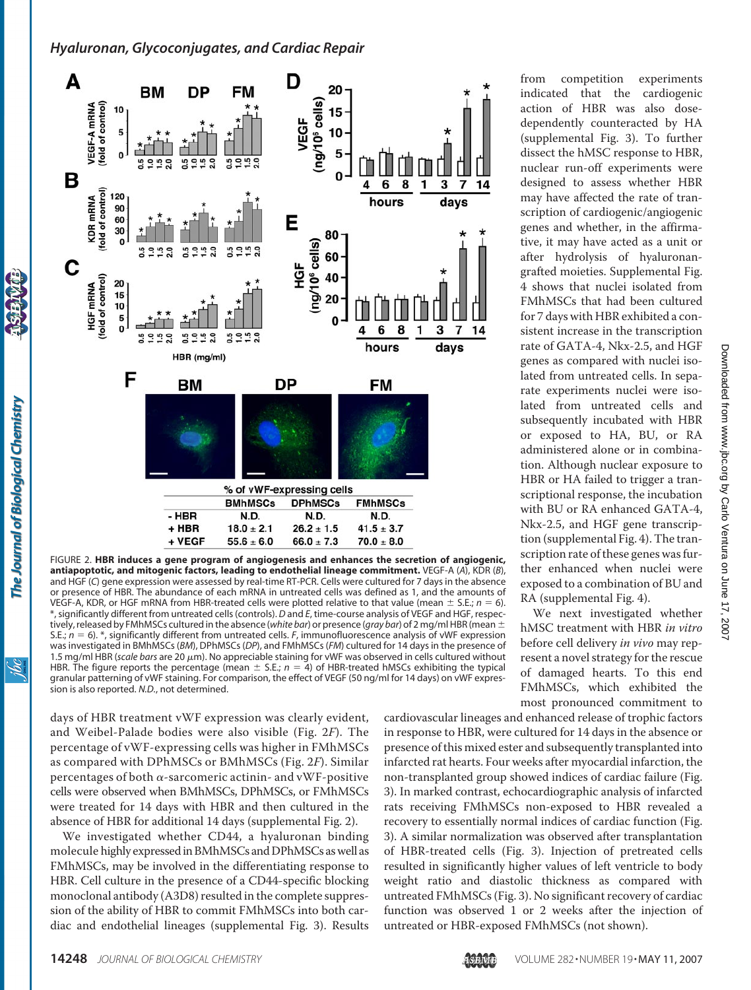

FIGURE 2. **HBR induces a gene program of angiogenesis and enhances the secretion of angiogenic, antiapoptotic, and mitogenic factors, leading to endothelial lineage commitment.** VEGF-A (*A*), KDR (*B*), and HGF (*C*) gene expression were assessed by real-time RT-PCR. Cells were cultured for 7 days in the absence or presence of HBR. The abundance of each mRNA in untreated cells was defined as 1, and the amounts of VEGF-A, KDR, or HGF mRNA from HBR-treated cells were plotted relative to that value (mean  $\pm$  S.E.;  $n = 6$ ). \*, significantly different from untreated cells (controls). *D* and *E*, time-course analysis of VEGF and HGF, respectively, released by FMhMSCs cultured in the absence (*white bar*) or presence (*gray bar*) of 2 mg/ml HBR (mean S.E.; *n* = 6). \*, significantly different from untreated cells. *F*, immunofluorescence analysis of vWF expression was investigated in BMhMSCs (*BM*), DPhMSCs (*DP*), and FMhMSCs (*FM*) cultured for 14 days in the presence of 1.5 mg/ml HBR (*scale bars* are 20  $\mu$ m). No appreciable staining for vWF was observed in cells cultured without HBR. The figure reports the percentage (mean  $\pm$  S.E.;  $n = 4$ ) of HBR-treated hMSCs exhibiting the typical granular patterning of vWF staining. For comparison, the effect of VEGF (50 ng/ml for 14 days) on vWF expression is also reported. *N.D.*, not determined.

days of HBR treatment vWF expression was clearly evident, and Weibel-Palade bodies were also visible (Fig. 2*F*). The percentage of vWF-expressing cells was higher in FMhMSCs as compared with DPhMSCs or BMhMSCs (Fig. 2*F*). Similar percentages of both  $\alpha$ -sarcomeric actinin- and vWF-positive cells were observed when BMhMSCs, DPhMSCs, or FMhMSCs were treated for 14 days with HBR and then cultured in the absence of HBR for additional 14 days (supplemental Fig. 2).

We investigated whether CD44, a hyaluronan binding molecule highly expressedin BMhMSCs and DPhMSCs as well as FMhMSCs, may be involved in the differentiating response to HBR. Cell culture in the presence of a CD44-specific blocking monoclonal antibody (A3D8) resulted in the complete suppression of the ability of HBR to commit FMhMSCs into both cardiac and endothelial lineages (supplemental Fig. 3). Results

from competition experiments indicated that the cardiogenic action of HBR was also dosedependently counteracted by HA (supplemental Fig. 3). To further dissect the hMSC response to HBR, nuclear run-off experiments were designed to assess whether HBR may have affected the rate of transcription of cardiogenic/angiogenic genes and whether, in the affirmative, it may have acted as a unit or after hydrolysis of hyaluronangrafted moieties. Supplemental Fig. 4 shows that nuclei isolated from FMhMSCs that had been cultured for 7 days with HBR exhibited a consistent increase in the transcription rate of GATA-4, Nkx-2.5, and HGF genes as compared with nuclei isolated from untreated cells. In separate experiments nuclei were isolated from untreated cells and subsequently incubated with HBR or exposed to HA, BU, or RA administered alone or in combination. Although nuclear exposure to HBR or HA failed to trigger a transcriptional response, the incubation with BU or RA enhanced GATA-4, Nkx-2.5, and HGF gene transcription (supplemental Fig. 4). The transcription rate of these genes was further enhanced when nuclei were exposed to a combination of BU and RA (supplemental Fig. 4).

We next investigated whether hMSC treatment with HBR *in vitro* before cell delivery *in vivo* may represent a novel strategy for the rescue of damaged hearts. To this end FMhMSCs, which exhibited the most pronounced commitment to

cardiovascular lineages and enhanced release of trophic factors in response to HBR, were cultured for 14 days in the absence or presence of this mixed ester and subsequently transplanted into infarcted rat hearts. Four weeks after myocardial infarction, the non-transplanted group showed indices of cardiac failure (Fig. 3). In marked contrast, echocardiographic analysis of infarcted rats receiving FMhMSCs non-exposed to HBR revealed a recovery to essentially normal indices of cardiac function (Fig. 3). A similar normalization was observed after transplantation of HBR-treated cells (Fig. 3). Injection of pretreated cells resulted in significantly higher values of left ventricle to body weight ratio and diastolic thickness as compared with untreated FMhMSCs (Fig. 3). No significant recovery of cardiac function was observed 1 or 2 weeks after the injection of untreated or HBR-exposed FMhMSCs (not shown).

The Journal of Biological Chemistry

<u>івс</u>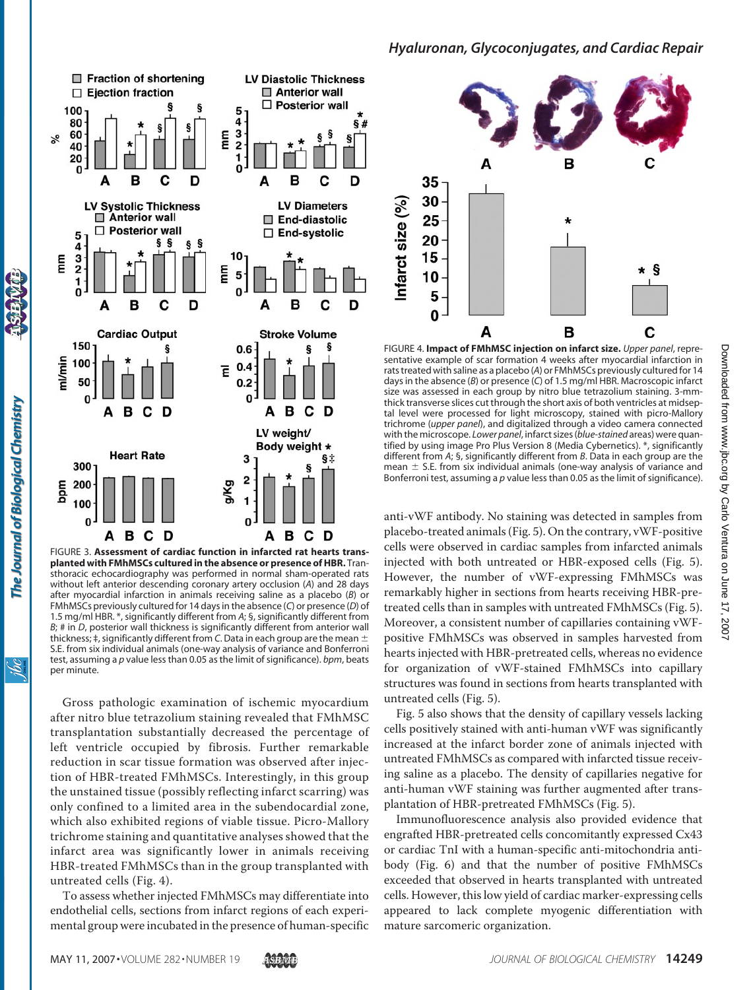

FIGURE 3. **Assessment of cardiac function in infarcted rat hearts transplanted with FMhMSCs cultured in the absence or presence of HBR.** Transthoracic echocardiography was performed in normal sham-operated rats without left anterior descending coronary artery occlusion (*A*) and 28 days after myocardial infarction in animals receiving saline as a placebo (*B*) or FMhMSCs previously cultured for 14 days in the absence (*C*) or presence (*D*) of 1.5 mg/ml HBR. \*, significantly different from *A*; §, significantly different from *B*; # in *D*, posterior wall thickness is significantly different from anterior wall thickness; ‡, significantly different from *C*. Data in each group are the mean S.E. from six individual animals (one-way analysis of variance and Bonferroni test, assuming a *p* value less than 0.05 as the limit of significance). *bpm*, beats per minute.

Gross pathologic examination of ischemic myocardium after nitro blue tetrazolium staining revealed that FMhMSC transplantation substantially decreased the percentage of left ventricle occupied by fibrosis. Further remarkable reduction in scar tissue formation was observed after injection of HBR-treated FMhMSCs. Interestingly, in this group the unstained tissue (possibly reflecting infarct scarring) was only confined to a limited area in the subendocardial zone, which also exhibited regions of viable tissue. Picro-Mallory trichrome staining and quantitative analyses showed that the infarct area was significantly lower in animals receiving HBR-treated FMhMSCs than in the group transplanted with untreated cells (Fig. 4).

To assess whether injected FMhMSCs may differentiate into endothelial cells, sections from infarct regions of each experimental group were incubated in the presence of human-specific



FIGURE 4. **Impact of FMhMSC injection on infarct size.** *Upper panel*, representative example of scar formation 4 weeks after myocardial infarction in rats treated with saline as a placebo (*A*) or FMhMSCs previously culturedfor 14 days in the absence (*B*) or presence (*C*) of 1.5 mg/ml HBR. Macroscopic infarct size was assessed in each group by nitro blue tetrazolium staining. 3-mmthick transverse slices cut through the short axis of both ventricles at midseptal level were processed for light microscopy, stained with picro-Mallory trichrome (*upper panel*), and digitalized through a video camera connected with the microscope. *Lower panel*, infarct sizes (*blue-stained* areas) were quantified by using image Pro Plus Version 8 (Media Cybernetics). \*, significantly different from *A*; §, significantly different from *B*. Data in each group are the mean  $\pm$  S.E. from six individual animals (one-way analysis of variance and Bonferroni test, assuming a *p* value less than 0.05 as the limit of significance).

anti-vWF antibody. No staining was detected in samples from placebo-treated animals (Fig. 5). On the contrary, vWF-positive cells were observed in cardiac samples from infarcted animals injected with both untreated or HBR-exposed cells (Fig. 5). However, the number of vWF-expressing FMhMSCs was remarkably higher in sections from hearts receiving HBR-pretreated cells than in samples with untreated FMhMSCs (Fig. 5). Moreover, a consistent number of capillaries containing vWFpositive FMhMSCs was observed in samples harvested from hearts injected with HBR-pretreated cells, whereas no evidence for organization of vWF-stained FMhMSCs into capillary structures was found in sections from hearts transplanted with untreated cells (Fig. 5).

Fig. 5 also shows that the density of capillary vessels lacking cells positively stained with anti-human vWF was significantly increased at the infarct border zone of animals injected with untreated FMhMSCs as compared with infarcted tissue receiving saline as a placebo. The density of capillaries negative for anti-human vWF staining was further augmented after transplantation of HBR-pretreated FMhMSCs (Fig. 5).

Immunofluorescence analysis also provided evidence that engrafted HBR-pretreated cells concomitantly expressed Cx43 or cardiac TnI with a human-specific anti-mitochondria antibody (Fig. 6) and that the number of positive FMhMSCs exceeded that observed in hearts transplanted with untreated cells. However, this low yield of cardiac marker-expressing cells appeared to lack complete myogenic differentiation with mature sarcomeric organization.

The Journal of Biological Chemistry

<u>жі</u>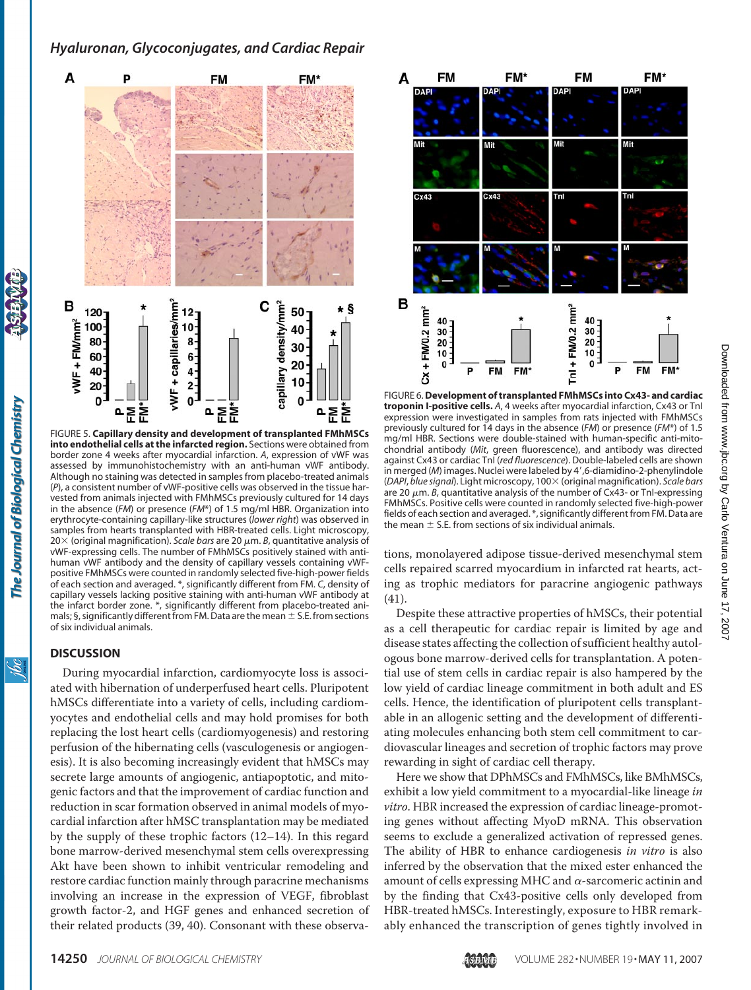

FIGURE 5. **Capillary density and development of transplanted FMhMSCs into endothelial cells at the infarcted region.** Sections were obtained from border zone 4 weeks after myocardial infarction. *A*, expression of vWF was assessed by immunohistochemistry with an anti-human vWF antibody. Although no staining was detected in samples from placebo-treated animals (*P*), a consistent number of vWF-positive cells was observed in the tissue harvested from animals injected with FMhMSCs previously cultured for 14 days in the absence (FM) or presence (FM<sup>\*</sup>) of 1.5 mg/ml HBR. Organization into erythrocyte-containing capillary-like structures (*lower right*) was observed in samples from hearts transplanted with HBR-treated cells. Light microscopy, 20 $\times$  (original magnification). *Scale bars* are 20  $\mu$ m. *B*, quantitative analysis of vWF-expressing cells. The number of FMhMSCs positively stained with antihuman vWF antibody and the density of capillary vessels containing vWFpositive FMhMSCs were counted in randomly selected five-high-power fields of each section and averaged. \*, significantly different from FM. *C*, density of capillary vessels lacking positive staining with anti-human vWF antibody at the infarct border zone. \*, significantly different from placebo-treated animals; §, significantly different from FM. Data are the mean  $\pm$  S.E. from sections of six individual animals.

#### **DISCUSSION**

The Journal of Biological Chemistry

ibc

During myocardial infarction, cardiomyocyte loss is associated with hibernation of underperfused heart cells. Pluripotent hMSCs differentiate into a variety of cells, including cardiomyocytes and endothelial cells and may hold promises for both replacing the lost heart cells (cardiomyogenesis) and restoring perfusion of the hibernating cells (vasculogenesis or angiogenesis). It is also becoming increasingly evident that hMSCs may secrete large amounts of angiogenic, antiapoptotic, and mitogenic factors and that the improvement of cardiac function and reduction in scar formation observed in animal models of myocardial infarction after hMSC transplantation may be mediated by the supply of these trophic factors (12–14). In this regard bone marrow-derived mesenchymal stem cells overexpressing Akt have been shown to inhibit ventricular remodeling and restore cardiac function mainly through paracrine mechanisms involving an increase in the expression of VEGF, fibroblast growth factor-2, and HGF genes and enhanced secretion of their related products (39, 40). Consonant with these observa-



FIGURE 6.**Development of transplanted FMhMSCs into Cx43- and cardiac troponin I-positive cells.** *A*, 4 weeks after myocardial infarction, Cx43 or TnI expression were investigated in samples from rats injected with FMhMSCs previously cultured for 14 days in the absence (*FM*) or presence (*FM*\*) of 1.5 mg/ml HBR. Sections were double-stained with human-specific anti-mitochondrial antibody (*Mit*, green fluorescence), and antibody was directed against Cx43 or cardiac TnI (*red fluorescence*). Double-labeled cells are shown in merged (M) images. Nuclei were labeled by 4',6-diamidino-2-phenylindole (*DAPI*, *blue signal*). Light microscopy, 100 (original magnification). *Scale bars* are 20  $\mu$ m. *B*, quantitative analysis of the number of Cx43- or TnI-expressing FMhMSCs. Positive cells were counted in randomly selected five-high-power fields of each section and averaged. \*, significantly different from FM. Data are the mean  $\pm$  S.E. from sections of six individual animals.

tions, monolayered adipose tissue-derived mesenchymal stem cells repaired scarred myocardium in infarcted rat hearts, acting as trophic mediators for paracrine angiogenic pathways (41).

Despite these attractive properties of hMSCs, their potential as a cell therapeutic for cardiac repair is limited by age and disease states affecting the collection of sufficient healthy autologous bone marrow-derived cells for transplantation. A potential use of stem cells in cardiac repair is also hampered by the low yield of cardiac lineage commitment in both adult and ES cells. Hence, the identification of pluripotent cells transplantable in an allogenic setting and the development of differentiating molecules enhancing both stem cell commitment to cardiovascular lineages and secretion of trophic factors may prove rewarding in sight of cardiac cell therapy.

Here we show that DPhMSCs and FMhMSCs, like BMhMSCs, exhibit a low yield commitment to a myocardial-like lineage *in vitro*. HBR increased the expression of cardiac lineage-promoting genes without affecting MyoD mRNA. This observation seems to exclude a generalized activation of repressed genes. The ability of HBR to enhance cardiogenesis *in vitro* is also inferred by the observation that the mixed ester enhanced the amount of cells expressing MHC and  $\alpha$ -sarcomeric actinin and by the finding that Cx43-positive cells only developed from HBR-treated hMSCs. Interestingly, exposure to HBR remarkably enhanced the transcription of genes tightly involved in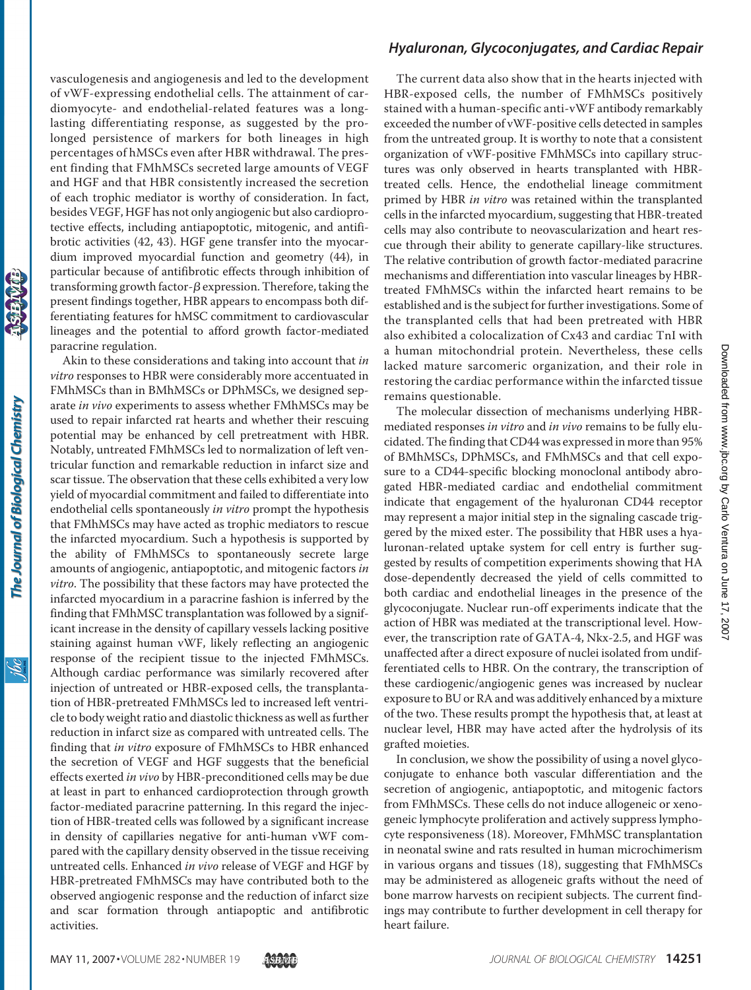vasculogenesis and angiogenesis and led to the development of vWF-expressing endothelial cells. The attainment of cardiomyocyte- and endothelial-related features was a longlasting differentiating response, as suggested by the prolonged persistence of markers for both lineages in high percentages of hMSCs even after HBR withdrawal. The present finding that FMhMSCs secreted large amounts of VEGF and HGF and that HBR consistently increased the secretion of each trophic mediator is worthy of consideration. In fact, besides VEGF, HGF has not only angiogenic but also cardioprotective effects, including antiapoptotic, mitogenic, and antifibrotic activities (42, 43). HGF gene transfer into the myocardium improved myocardial function and geometry (44), in particular because of antifibrotic effects through inhibition of transforming growth factor- $\beta$  expression. Therefore, taking the present findings together, HBR appears to encompass both differentiating features for hMSC commitment to cardiovascular lineages and the potential to afford growth factor-mediated paracrine regulation.

Akin to these considerations and taking into account that *in vitro* responses to HBR were considerably more accentuated in FMhMSCs than in BMhMSCs or DPhMSCs, we designed separate *in vivo* experiments to assess whether FMhMSCs may be used to repair infarcted rat hearts and whether their rescuing potential may be enhanced by cell pretreatment with HBR. Notably, untreated FMhMSCs led to normalization of left ventricular function and remarkable reduction in infarct size and scar tissue. The observation that these cells exhibited a very low yield of myocardial commitment and failed to differentiate into endothelial cells spontaneously *in vitro* prompt the hypothesis that FMhMSCs may have acted as trophic mediators to rescue the infarcted myocardium. Such a hypothesis is supported by the ability of FMhMSCs to spontaneously secrete large amounts of angiogenic, antiapoptotic, and mitogenic factors *in vitro*. The possibility that these factors may have protected the infarcted myocardium in a paracrine fashion is inferred by the finding that FMhMSC transplantation was followed by a significant increase in the density of capillary vessels lacking positive staining against human vWF, likely reflecting an angiogenic response of the recipient tissue to the injected FMhMSCs. Although cardiac performance was similarly recovered after injection of untreated or HBR-exposed cells, the transplantation of HBR-pretreated FMhMSCs led to increased left ventricle to body weight ratio and diastolic thickness as well as further reduction in infarct size as compared with untreated cells. The finding that *in vitro* exposure of FMhMSCs to HBR enhanced the secretion of VEGF and HGF suggests that the beneficial effects exerted *in vivo* by HBR-preconditioned cells may be due at least in part to enhanced cardioprotection through growth factor-mediated paracrine patterning. In this regard the injection of HBR-treated cells was followed by a significant increase in density of capillaries negative for anti-human vWF compared with the capillary density observed in the tissue receiving untreated cells. Enhanced *in vivo* release of VEGF and HGF by HBR-pretreated FMhMSCs may have contributed both to the observed angiogenic response and the reduction of infarct size and scar formation through antiapoptic and antifibrotic activities.

#### *Hyaluronan, Glycoconjugates, and Cardiac Repair*

The current data also show that in the hearts injected with HBR-exposed cells, the number of FMhMSCs positively stained with a human-specific anti-vWF antibody remarkably exceeded the number of vWF-positive cells detected in samples from the untreated group. It is worthy to note that a consistent organization of vWF-positive FMhMSCs into capillary structures was only observed in hearts transplanted with HBRtreated cells. Hence, the endothelial lineage commitment primed by HBR *in vitro* was retained within the transplanted cells in the infarcted myocardium, suggesting that HBR-treated cells may also contribute to neovascularization and heart rescue through their ability to generate capillary-like structures. The relative contribution of growth factor-mediated paracrine mechanisms and differentiation into vascular lineages by HBRtreated FMhMSCs within the infarcted heart remains to be established and is the subject for further investigations. Some of the transplanted cells that had been pretreated with HBR also exhibited a colocalization of Cx43 and cardiac TnI with a human mitochondrial protein. Nevertheless, these cells lacked mature sarcomeric organization, and their role in restoring the cardiac performance within the infarcted tissue remains questionable.

The molecular dissection of mechanisms underlying HBRmediated responses *in vitro* and *in vivo* remains to be fully elucidated. The finding that CD44 was expressed in more than 95% of BMhMSCs, DPhMSCs, and FMhMSCs and that cell exposure to a CD44-specific blocking monoclonal antibody abrogated HBR-mediated cardiac and endothelial commitment indicate that engagement of the hyaluronan CD44 receptor may represent a major initial step in the signaling cascade triggered by the mixed ester. The possibility that HBR uses a hyaluronan-related uptake system for cell entry is further suggested by results of competition experiments showing that HA dose-dependently decreased the yield of cells committed to both cardiac and endothelial lineages in the presence of the glycoconjugate. Nuclear run-off experiments indicate that the action of HBR was mediated at the transcriptional level. However, the transcription rate of GATA-4, Nkx-2.5, and HGF was unaffected after a direct exposure of nuclei isolated from undifferentiated cells to HBR. On the contrary, the transcription of these cardiogenic/angiogenic genes was increased by nuclear exposure to BU or RA and was additively enhanced by a mixture of the two. These results prompt the hypothesis that, at least at nuclear level, HBR may have acted after the hydrolysis of its grafted moieties.

In conclusion, we show the possibility of using a novel glycoconjugate to enhance both vascular differentiation and the secretion of angiogenic, antiapoptotic, and mitogenic factors from FMhMSCs. These cells do not induce allogeneic or xenogeneic lymphocyte proliferation and actively suppress lymphocyte responsiveness (18). Moreover, FMhMSC transplantation in neonatal swine and rats resulted in human microchimerism in various organs and tissues (18), suggesting that FMhMSCs may be administered as allogeneic grafts without the need of bone marrow harvests on recipient subjects. The current findings may contribute to further development in cell therapy for heart failure.